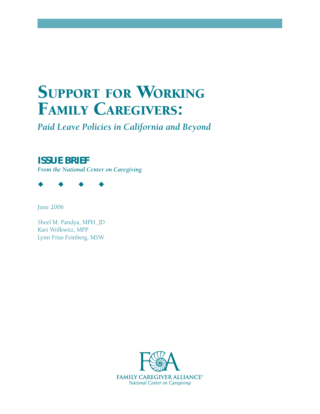# **SUPPORT FOR WORKING FAMILY CAREGIVERS:**

*Paid Leave Policies in California and Beyond*

# **ISSUE BRIEF**

*From the National Center on Caregiving*



June 2006

Sheel M. Pandya, MPH, JD Kari Wolkwitz, MPP Lynn Friss Feinberg, MSW

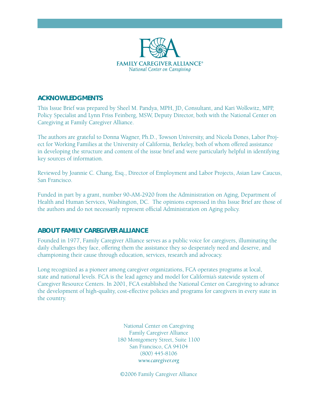

# **ACKNOWLEDGMENTS**

This Issue Brief was prepared by Sheel M. Pandya, MPH, JD, Consultant, and Kari Wolkwitz, MPP, Policy Specialist and Lynn Friss Feinberg, MSW, Deputy Director, both with the National Center on Caregiving at Family Caregiver Alliance.

The authors are grateful to Donna Wagner, Ph.D., Towson University, and Nicola Dones, Labor Project for Working Families at the University of California, Berkeley, both of whom offered assistance in developing the structure and content of the issue brief and were particularly helpful in identifying key sources of information.

Reviewed by Joannie C. Chang, Esq., Director of Employment and Labor Projects, Asian Law Caucus, San Francisco.

Funded in part by a grant, number 90-AM-2920 from the Administration on Aging, Department of Health and Human Services, Washington, DC. The opinions expressed in this Issue Brief are those of the authors and do not necessarily represent official Administration on Aging policy.

# **ABOUT FAMILY CAREGIVER ALLIANCE**

Founded in 1977, Family Caregiver Alliance serves as a public voice for caregivers, illuminating the daily challenges they face, offering them the assistance they so desperately need and deserve, and championing their cause through education, services, research and advocacy.

Long recognized as a pioneer among caregiver organizations, FCA operates programs at local, state and national levels. FCA is the lead agency and model for California's statewide system of Caregiver Resource Centers. In 2001, FCA established the National Center on Caregiving to advance the development of high-quality, cost-effective policies and programs for caregivers in every state in the country.

> National Center on Caregiving Family Caregiver Alliance 180 Montgomery Street, Suite 1100 San Francisco, CA 94104 (800) 445-8106 *www.caregiver.org*

©2006 Family Caregiver Alliance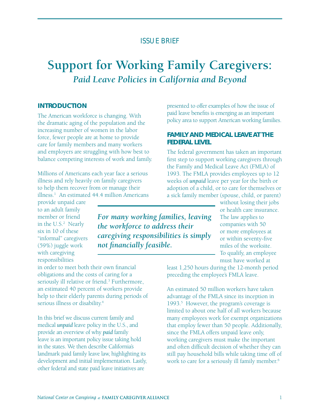# ISSUE BRIEF

# **Support for Working Family Caregivers:** *Paid Leave Policies in California and Beyond*

#### **INTRODUCTION**

The American workforce is changing. With the dramatic aging of the population and the increasing number of women in the labor force, fewer people are at home to provide care for family members and many workers and employers are struggling with how best to balance competing interests of work and family.

Millions of Americans each year face a serious illness and rely heavily on family caregivers to help them recover from or manage their illness.1 An estimated 44.4 million Americans

provide unpaid care to an adult family member or friend in the U.S.<sup>2</sup> Nearly six in 10 of these "informal" caregivers (59%) juggle work with caregiving responsibilities

*For many working families, leaving the workforce to address their caregiving responsibilities is simply not financially feasible.* 

in order to meet both their own financial obligations and the costs of caring for a seriously ill relative or friend.<sup>3</sup> Furthermore, an estimated 40 percent of workers provide help to their elderly parents during periods of serious illness or disability.<sup>4</sup>

In this brief we discuss current family and medical *unpaid* leave policy in the U.S., and provide an overview of why *paid* family leave is an important policy issue taking hold in the states. We then describe California's landmark paid family leave law, highlighting its development and initial implementation. Lastly, other federal and state paid leave initiatives are

presented to offer examples of how the issue of paid leave benefits is emerging as an important policy area to support American working families.

# **FAMILY AND MEDICAL LEAVE AT THE FEDERAL LEVEL**

The federal government has taken an important first step to support working caregivers through the Family and Medical Leave Act (FMLA) of 1993. The FMLA provides employees up to 12 weeks of *unpaid* leave per year for the birth or adoption of a child, or to care for themselves or a sick family member (spouse, child, or parent)

> without losing their jobs or health care insurance. The law applies to companies with 50 or more employees at or within seventy-five miles of the worksite. To qualify, an employee must have worked at

least 1,250 hours during the 12-month period preceding the employee's FMLA leave.

An estimated 50 million workers have taken advantage of the FMLA since its inception in 1993.<sup>5</sup> However, the program's coverage is limited to about one half of all workers because many employees work for exempt organizations that employ fewer than 50 people. Additionally, since the FMLA offers unpaid leave only, working caregivers must make the important and often difficult decision of whether they can still pay household bills while taking time off of work to care for a seriously ill family member.<sup>6</sup>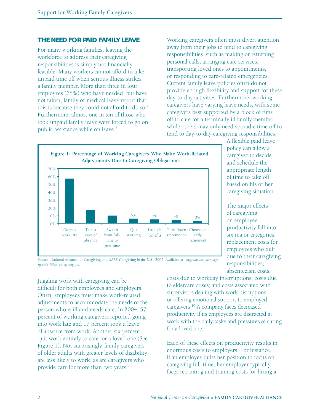# **THE NEED FOR** *PAID* **FAMILY LEAVE**

For many working families, leaving the workforce to address their caregiving responsibilities is simply not financially feasible. Many workers cannot afford to take unpaid time off when serious illness strikes a family member. More than three in four employees (78%) who have needed, but have not taken, family or medical leave report that this is because they could not afford to do so.<sup>7</sup> Furthermore, almost one in ten of those who took unpaid family leave were forced to go on public assistance while on leave.<sup>8</sup>

Working caregivers often must divert attention away from their jobs to tend to caregiving responsibilities, such as making or returning personal calls, arranging care services, transporting loved ones to appointments, or responding to care-related emergencies. Current family leave policies often do not provide enough flexibility and support for these day-to-day activities. Furthermore, working caregivers have varying leave needs, with some caregivers best supported by a block of time off to care for a terminally ill family member while others may only need sporadic time off to tend to day-to-day caregiving responsibilities.



A flexible paid leave policy can allow a caregiver to decide and schedule the appropriate length of time to take off based on his or her caregiving situation.

The major effects of caregiving on employee productivity fall into six major categories: replacement costs for employees who quit due to their caregiving responsibilities; absenteeism costs;

Source: National Alliance for Caregiving and AARP, *Caregiving in the U.S*., 2005. Available at: *http://assets.aarp.org/ rgcenter/il/us\_caregiving.pdf.*

Juggling work with caregiving can be difficult for both employees and employers. Often, employees must make work-related adjustments to accommodate the needs of the person who is ill and needs care. In 2004, 57 percent of working caregivers reported going into work late and 17 percent took a leave of absence from work. Another six percent quit work entirely to care for a loved one (See Figure 1). Not surprisingly, family caregivers of older adults with greater levels of disability are less likely to work, as are caregivers who provide care for more than two years.<sup>9</sup>

costs due to workday interruptions; costs due to eldercare crises; and costs associated with supervisors dealing with work disruptions or offering emotional support to employed caregivers.10 A company faces decreased productivity if its employees are distracted at work with the daily tasks and pressures of caring for a loved one.

Each of these effects on productivity results in enormous costs to employers. For instance, if an employee quits her position to focus on caregiving full-time, her employer typically faces recruiting and training costs for hiring a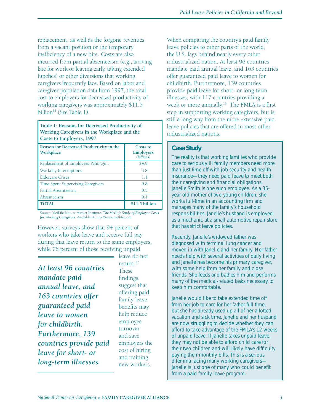replacement, as well as the forgone revenues from a vacant position or the temporary inefficiency of a new hire. Costs are also incurred from partial absenteeism (e.g., arriving late for work or leaving early, taking extended lunches) or other diversions that working caregivers frequently face. Based on labor and caregiver population data from 1997, the total cost to employers for decreased productivity of working caregivers was approximately \$11.5 billion $11$  (See Table 1).

**Table 1: Reasons for Decreased Productivity of Working Caregivers in the Workplace and the Costs to Employers, 1997**

| Reason for Decreased Productivity in the<br>Workplace | Costs to<br><b>Employers</b><br>(billions) |
|-------------------------------------------------------|--------------------------------------------|
| Replacement of Employees Who Quit                     | \$4.9                                      |
| Workday Interruptions                                 | 3.8                                        |
| <b>Eldercare Crises</b>                               | 1.1                                        |
| <b>Time Spent Supervising Caregivers</b>              | 0.8                                        |
| Partial Absenteeism                                   | 0.5                                        |
| Absenteeism                                           | 0.4                                        |
| <b>TOTAL</b>                                          | \$11.5 billion                             |

Source: MetLife Mature Market Institute. *The MetLife Study of Employer Costs for Working Caregivers*. Available at http://www.metlife.com

However, surveys show that 94 percent of workers who take leave and receive full pay during that leave return to the same employers, while 76 percent of those receiving unpaid

*At least 96 countries mandate paid annual leave, and 163 countries offer guaranteed paid leave to women for childbirth. Furthermore, 139 countries provide paid leave for short- or long-term illnesses.*

leave do not return.12 These findings suggest that offering paid family leave benefits may help reduce employee turnover and save employers the cost of hiring and training new workers.

When comparing the country's paid family leave policies to other parts of the world, the U.S. lags behind nearly every other industrialized nation. At least 96 countries mandate paid annual leave, and 163 countries offer guaranteed paid leave to women for childbirth. Furthermore, 139 countries provide paid leave for short- or long-term illnesses, with 117 countries providing a week or more annually.<sup>13</sup> The FMLA is a first step in supporting working caregivers, but is still a long way from the more extensive paid leave policies that are offered in most other industrialized nations.

# *Case Study*

The reality is that working families who provide care to seriously ill family members need more than just time off with job security and health insurance—they need paid leave to meet both their caregiving and financial obligations. Janelle Smith is one such employee. As a 35 year-old mother of two young children, she works full-time in an accounting firm and manages many of the family's household responsibilities. Janelle's husband is employed as a mechanic at a small automotive repair store that has strict leave policies.

Recently, Janelle's widowed father was diagnosed with terminal lung cancer and moved in with Janelle and her family. Her father needs help with several activities of daily living and Janelle has become his primary caregiver, with some help from her family and close friends. She feeds and bathes him and performs many of the medical-related tasks necessary to keep him comfortable.

Janelle would like to take extended time off from her job to care for her father full time, but she has already used up all of her allotted vacation and sick time. Janelle and her husband are now struggling to decide whether they can afford to take advantage of the FMLA's 12 weeks of unpaid leave. If Janelle takes unpaid leave, they may not be able to afford child care for their two children and will likely have difficulty paying their monthly bills. This is a serious dilemma facing many working caregivers— Janelle is just one of many who could benefit from a paid family leave program.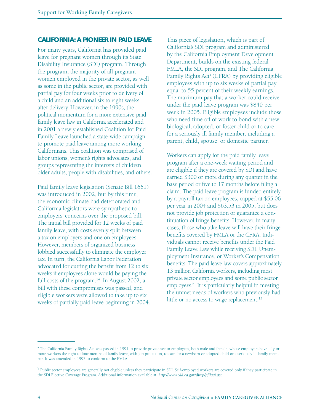#### **CALIFORNIA: A PIONEER IN PAID LEAVE**

For many years, California has provided paid leave for pregnant women through its State Disability Insurance (SDI) program. Through the program, the majority of all pregnant women employed in the private sector, as well as some in the public sector, are provided with partial pay for four weeks prior to delivery of a child and an additional six to eight weeks after delivery. However, in the 1990s, the political momentum for a more extensive paid family leave law in California accelerated and in 2001 a newly established Coalition for Paid Family Leave launched a state-wide campaign to promote paid leave among more working Californians. This coalition was comprised of labor unions, women's rights advocates, and groups representing the interests of children, older adults, people with disabilities, and others.

Paid family leave legislation (Senate Bill 1661) was introduced in 2002, but by this time, the economic climate had deteriorated and California legislators were sympathetic to employers' concerns over the proposed bill. The initial bill provided for 12 weeks of paid family leave, with costs evenly split between a tax on employers and one on employees. However, members of organized business lobbied successfully to eliminate the employer tax. In turn, the California Labor Federation advocated for cutting the benefit from 12 to six weeks if employees alone would be paying the full costs of the program. $14$  In August 2002, a bill with these compromises was passed, and eligible workers were allowed to take up to six weeks of partially paid leave beginning in 2004. This piece of legislation, which is part of California's SDI program and administered by the California Employment Development Department, builds on the existing federal FMLA, the SDI program, and The California Family Rights Act<sup>a</sup> (CFRA) by providing eligible employees with up to six weeks of partial pay equal to 55 percent of their weekly earnings. The maximum pay that a worker could receive under the paid leave program was \$840 per week in 2005. Eligible employees include those who need time off of work to bond with a new biological, adopted, or foster child or to care for a seriously ill family member, including a parent, child, spouse, or domestic partner.

Workers can apply for the paid family leave program after a one-week waiting period and are eligible if they are covered by SDI and have earned \$300 or more during any quarter in the base period or five to 17 months before filing a claim. The paid leave program is funded entirely by a payroll tax on employees, capped at \$55.06 per year in 2004 and \$63.53 in 2005, but does not provide job protection or guarantee a continuation of fringe benefits. However, in many cases, those who take leave will have their fringe benefits covered by FMLA or the CFRA. Individuals cannot receive benefits under the Paid Family Leave Law while receiving SDI, Unemployment Insurance, or Worker's Compensation benefits. The paid leave law covers approximately 13 million California workers, including most private sector employees and some public sector employees.<sup>b</sup> It is particularly helpful in meeting the unmet needs of workers who previously had little or no access to wage replacement.<sup>15</sup>

<sup>&</sup>lt;sup>a</sup> The California Family Rights Act was passed in 1991 to provide private sector employees, both male and female, whose employers have fifty or more workers the right to four months of family leave, with job protection, to care for a newborn or adopted child or a seriously ill family member. It was amended in 1993 to conform to the FMLA.

<sup>&</sup>lt;sup>b</sup> Public sector employees are generally not eligible unless they participate in SDI. Self-employed workers are covered only if they participate in the SDI Elective Coverage Program. Additional information available at: *http://www.edd.ca.gov/direp/pfl faqi.asp*.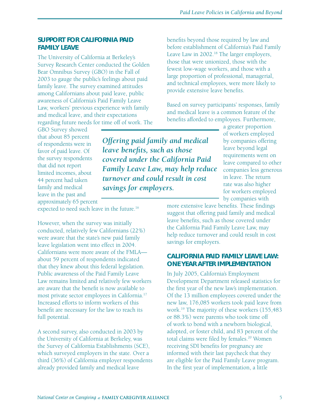benefits beyond those required by law and before establishment of California's Paid Family Leave Law in 2002.<sup>18</sup> The larger employers, those that were unionized, those with the fewest low-wage workers, and those with a large proportion of professional, managerial, and technical employees, were more likely to

provide extensive leave benefits.

# **SUPPORT FOR CALIFORNIA PAID FAMILY LEAVE**

The University of California at Berkeley's Survey Research Center conducted the Golden Bear Omnibus Survey (GBO) in the Fall of 2003 to gauge the public's feelings about paid family leave. The survey examined attitudes among Californians about paid leave, public awareness of California's Paid Family Leave Law, workers' previous experience with family and medical leave, and their expectations regarding future needs for time off of work. The

GBO Survey showed that about 85 percent of respondents were in favor of paid leave. Of the survey respondents that did not report limited incomes, about 44 percent had taken family and medical leave in the past and approximately 65 percent

*Offering paid family and medical leave benefits, such as those covered under the California Paid Family Leave Law, may help reduce turnover and could result in cost savings for employers.*

Based on survey participants' responses, family and medical leave is a common feature of the benefits afforded to employees. Furthermore, a greater proportion of workers employed by companies offering leave beyond legal requirements went on leave compared to other

companies less generous in leave. The return rate was also higher for workers employed by companies with

more extensive leave benefits. These findings suggest that offering paid family and medical leave benefits, such as those covered under the California Paid Family Leave Law, may help reduce turnover and could result in cost savings for employers.

# **CALIFORNIA PAID FAMILY LEAVE LAW: ONE YEAR AFTER IMPLEMENTATION**

In July 2005, California's Employment Development Department released statistics for the first year of the new law's implementation. Of the 13 million employees covered under the new law, 176,085 workers took paid leave from work.19 The majority of these workers (155,483 or 88.3%) were parents who took time off of work to bond with a newborn biological, adopted, or foster child, and 83 percent of the total claims were filed by females.<sup>20</sup> Women receiving SDI benefits for pregnancy are informed with their last paycheck that they are eligible for the Paid Family Leave program. In the first year of implementation, a little

expected to need such leave in the future.16

However, when the survey was initially conducted, relatively few Californians (22%) were aware that the state's new paid family leave legislation went into effect in 2004. Californians were more aware of the FMLA about 59 percent of respondents indicated that they knew about this federal legislation. Public awareness of the Paid Family Leave Law remains limited and relatively few workers are aware that the benefit is now available to most private sector employees in California.17 Increased efforts to inform workers of this benefit are necessary for the law to reach its full potential.

A second survey, also conducted in 2003 by the University of California at Berkeley, was the Survey of California Establishments (SCE), which surveyed employers in the state. Over a third (36%) of California employer respondents already provided family and medical leave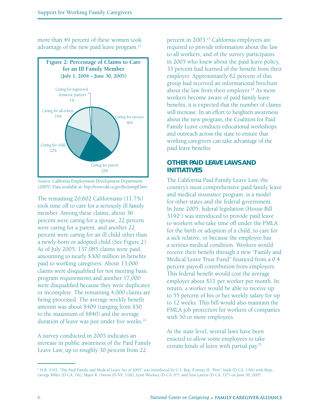more than 49 percent of these women took advantage of the new paid leave program.<sup>21</sup>



Source: California Employment Development Department. (2005). Data available at: *http://www.edd.ca.gov/fl eclaimpfl .htm.*

The remaining 20,602 Californians (11.7%) took time off to care for a seriously ill family member. Among these claims, about 36 percent were caring for a spouse, 22 percent were caring for a parent, and another 22 percent were caring for an ill child other than a newly born or adopted child (See Figure 2). As of July 2005, 137,085 claims were paid, amounting to nearly \$300 million in benefits paid to working caregivers. About 13,000 claims were disqualified for not meeting basic program requirements and another 17,000 were disqualified because they were duplicates or incomplete. The remaining 4,000 claims are being processed. The average weekly benefit amount was about \$409 (ranging from \$50 to the maximum of \$840) and the average duration of leave was just under five weeks.<sup>22</sup>

A survey conducted in 2005 indicates an increase in public awareness of the Paid Family Leave Law, up to roughly 30 percent from 22

percent in 2003.<sup>23</sup> California employers are required to provide information about the law to all workers, and of the survey participants in 2005 who knew about the paid leave policy, 33 percent had learned of the benefit from their employer. Approximately 62 percent of this group had received an informational brochure about the law from their employer.<sup>24</sup> As more workers become aware of paid family leave benefits, it is expected that the number of claims will increase. In an effort to heighten awareness about the new program, the Coalition for Paid Family Leave conducts educational workshops and outreach across the state to ensure that working caregivers can take advantage of the paid leave benefits.

# **OTHER PAID LEAVE LAWS AND INITIATIVES**

The California Paid Family Leave Law, the country's most comprehensive paid family leave and medical insurance program, is a model for other states and the federal government. In June 2005, federal legislation (House Bill 3192<sup>c</sup>) was introduced to provide paid leave to workers who take time off under the FMLA for the birth or adoption of a child, to care for a sick relative, or because the employee has a serious medical condition. Workers would receive their benefit through a new "Family and Medical Leave Trust Fund" financed from a 0.4 percent payroll contribution from employers. This federal benefit would cost the average employer about \$11 per worker per month. In return, a worker would be able to receive up to 55 percent of his or her weekly salary for up to 12 weeks. This bill would also maintain the FMLA job protection for workers of companies with 50 or more employees.

At the state level, several laws have been enacted to allow some employees to take certain kinds of leave with partial pay.25

c H.B. 3192, "The Paid Family and Medical Leave Act of 2005" was introduced by U.S. Rep. Fortney H. "Pete" Stark (D-CA, 13th) with Reps. George Miller (D-CA, 7th), Major R. Owens (D-NY, 11th), Lynn Woolsey (D-CA, 6th), and Tom Lantos (D-CA, 12th) on June 30, 2005.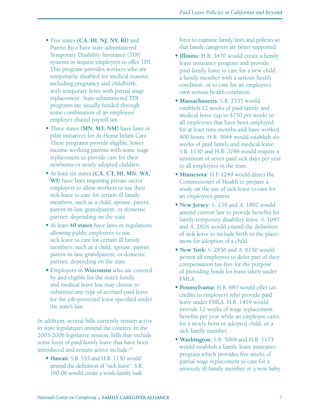- Five states **(CA, HI, NJ, NY, RI)** and Puerto Rico have state-administered Temporary Disability Insurance (TDI) systems or require employers to offer TDI. This program provides workers who are temporarily disabled for medical reasons, including pregnancy and childbirth, with temporary leave with partial wage replacement. State-administered TDI programs are usually funded through some combination of an employee/ employer shared payroll tax.
- Three states **(MN, MT, NM)** have laws or pilot initiatives for At-Home Infant Care. These programs provide eligible, lower income working parents with some wage replacement to provide care for their newborns or newly adopted children.
- At least six states **(CA, CT, HI, MN, WA, WI)** have laws requiring private sector employers to allow workers to use their sick leave to care for certain ill family members, such as a child, spouse, parent, parent-in-law, grandparent, or domestic partner, depending on the state.
- At least **40 states** have laws or regulations allowing public employees to use sick leave to care for certain ill family members, such as a child, spouse, parent, parent-in-law, grandparent, or domestic partner, depending on the state.
- Employees in **Wisconsin** who are covered by and eligible for the state's family and medical leave law may choose to substitute any type of accrued paid leave for the job-protected leave specified under the state's law.

In addition, several bills currently remain active in state legislatures around the country. In the 2005-2006 legislative session, bills that include some form of paid family leave that have been introduced and remain active include:26

 **Hawaii:** S.B. 533 and H.B. 1130 would amend the definition of "sick leave". S.R. 160-06 would create a work-family task

force to examine family laws and policies so that family caregivers are better supported.

- **Illinois:** H.B. 3470 would create a family leave insurance program and provide paid family leave to care for a new child, a family member with a serious health condition, or to care for an employee's own serious health condition.
- **Massachusetts:** S.B. 2535 would establish 12 weeks of paid family and medical leave (up to \$750 per week) to all employees that have been employed for at least nine months and have worked 900 hours. H.B. 3944 would establish six weeks of paid family and medical leave. S.B. 1130 and H.B. 3788 would require a minimum of seven paid sick days per year to all employees in the state.
- **Minnesota:** H.F. 1249 would direct the Commissioner of Health to prepare a study on the use of sick leave to care for an employee's parent.
- **New Jersey:** S. 239 and A. 1892 would amend current law to provide benefits for family temporary disability leave. S. 1047 and A. 2826 would extend the definition of sick leave to include birth or the placement for adoption of a child.
- **New York:** S. 2836 and A. 6150 would permit all employees to defer part of their compensation tax-free for the purpose of providing funds for leave taken under FMLA.
- **Pennsylvania:** H.B. 685 would offer tax credits to employers who provide paid leave under FMLA. H.B. 1459 would provide 12 weeks of wage replacement benefits per year while an employee cares for a newly born or adopted child, or a sick family member.
- **Washington:** S.B. 5069 and H.B. 1173 would establish a family leave insurance program which provides five weeks of partial wage replacement to care for a seriously ill family member or a new baby.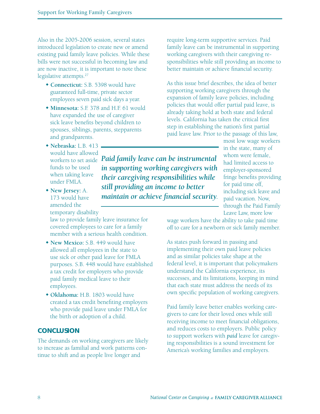Also in the 2005-2006 session, several states introduced legislation to create new or amend existing paid family leave policies. While these bills were not successful in becoming law and are now inactive, it is important to note these legislative attempts.<sup>27</sup>

- **Connecticut:** S.B. 5398 would have guaranteed full-time, private sector employees seven paid sick days a year.
- **Minnesota:** S.F. 378 and H.F. 61 would have expanded the use of caregiver sick leave benefits beyond children to spouses, siblings, parents, stepparents and grandparents.
- **Nebraska:** L.B. 413 would have allowed funds to be used when taking leave under FMLA.
- **New Jersey:** A. 173 would have amended the temporary disability

law to provide family leave insurance for covered employees to care for a family member with a serious health condition.

- **New Mexico:** S.B. 449 would have allowed all employees in the state to use sick or other paid leave for FMLA purposes. S.B. 448 would have established a tax credit for employers who provide paid family medical leave to their employees.
- **Oklahoma:** H.B. 1803 would have created a tax credit benefiting employers who provide paid leave under FMLA for the birth or adoption of a child.

# **CONCLUSION**

The demands on working caregivers are likely to increase as familial and work patterns continue to shift and as people live longer and

working caregivers with their caregiving responsibilities while still providing an income to better maintain or achieve financial security.

require long-term supportive services. Paid family leave can be instrumental in supporting

As this issue brief describes, the idea of better supporting working caregivers through the expansion of family leave policies, including policies that would offer partial paid leave, is already taking hold at both state and federal levels. California has taken the critical first step in establishing the nation's first partial paid leave law. Prior to the passage of this law,

most low wage workers in the state, many of whom were female, had limited access to employer-sponsored fringe benefits providing for paid time off, including sick leave and paid vacation. Now, through the Paid Family Leave Law, more low

wage workers have the ability to take paid time off to care for a newborn or sick family member.

As states push forward in passing and implementing their own paid leave policies and as similar policies take shape at the federal level, it is important that policymakers understand the California experience, its successes, and its limitations, keeping in mind that each state must address the needs of its own specific population of working caregivers.

Paid family leave better enables working caregivers to care for their loved ones while still receiving income to meet financial obligations, and reduces costs to employers. Public policy to support workers with *paid* leave for caregiving responsibilities is a sound investment for America's working families and employers.

workers to set aside *Paid family leave can be instrumental in supporting working caregivers with their caregiving responsibilities while still providing an income to better maintain or achieve financial security.*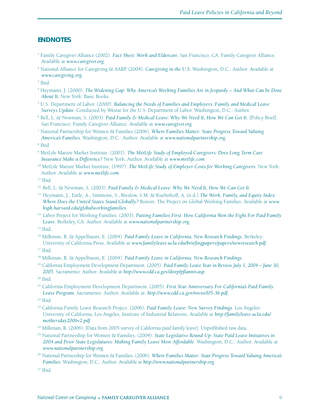# **ENDNOTES**

- 1 Family Caregiver Alliance (2002). *Fact Sheet: Work and Eldercare.* San Francisco, CA: Family Caregiver Alliance. Available at *www.caregiver.org*.
- 2 National Alliance for Caregiving & AARP. (2004). *Caregiving in the U.S*. Washington, D.C.: Author. Available at *www.caregiving.org.*
- 3 Ibid.
- 4 Heymann, J. (2000). *The Widening Gap: Why America's Working Families Are in Jeopardy And What Can be Done About It.* New York: Basic Books.
- 5 U.S. Department of Labor. (2000). *Balancing the Needs of Families and Employers: Family and Medical Leave Surveys Update*. Conducted by Westat for the U.S. Department of Labor. Washington, D.C.: Author.
- <sup>6</sup> Bell, L. & Newman, S. (2003). *Paid Family & Medical Leave: Why We Need It, How We Can Get It.* [Policy Brief]. San Francisco: Family Caregiver Alliance. Available at *www.caregiver.org.*
- 7 National Partnership for Women & Families (2006). *Where Families Matter: State Progress Toward Valuing America's Families.* Washington, D.C.: Author. Available at *www.nationalpartnership.org*.
- 8 Ibid.
- 9 MetLife Mature Market Institute. (2001). *The MetLife Study of Employed Caregivers: Does Long Term Care Insurance Make a Difference?* New York: Author. Available at *www.metlife.com*.
- 10 MetLife Mature Market Institute. (1997). *The MetLife Study of Employer Costs for Working Caregivers*. New York: Author. Available at *www.metlife.com*.

 $11$  Ibid.

- 12 Bell, L. & Newman, S. (2003). *Paid Family & Medical Leave: Why We Need It, How We Can Get It.*
- 13 Heymann, J., Earle, A., Simmons, S., Breslow, S.M. & Kuehnhoff, A. (n.d.) *The Work, Family, and Equity Index: Where Does the United States Stand Globally?* Boston: The Project on Global Working Families. Available at *www. hsph.harvard.edu/globalworkingfamilies*.
- 14 Labor Project for Working Families. (2003). *Putting Families First: How California Won the Fight For Paid Family Leave*. Berkeley, CA: Author. Available at *www.nationalpartnership.org*.

16 Milkman, R. & Appelbaum, E. (2004). *Paid Family Leave in California: New Research Findings*. Berkeley: University of California Press. Available at *www.familyleave.ucla.edu/briefi ngpapers/papers/newresearch.pdf*.

<sup>17</sup> Ibid.

- 18 Milkman, R. & Appelbaum, E. (2004). *Paid Family Leave in California: New Research Findings*.
- 19 California Employment Development Department. (2005). *Paid Family Leave Year in Review July 1, 2004 June 30,*  2005. Sacramento: Author. Available at *http://www.edd.ca.gov/direp/pflanniv.asp.*

21 California Employment Development Department. (2005). *First Year Anniversary For California's Paid Family Leave Program*. Sacramento: Author. Available at: *http://www.edd.ca.gov/nwsrel05-36.pdf*.

- 23 California Family Leave Research Project. (2006). *Paid Family Leave: New Survey Findings*. Los Angeles: University of California, Los Angeles, Institute of Industrial Relations. Available at *http://familyleave.ucla.edu/ mothersday2006v2.pdf*.
- <sup>24</sup> Milkman, R. (2006). [Data from 2005 survey of California paid family leave]. Unpublished raw data.
- 25 National Partnership for Women & Families. (2004). *State Legislative Round-Up: State Paid Leave Initiatives in 2004 and Prior State Legislatures: Making Family Leave More Affordable*. Washington, D.C.: Author. Available at *www.nationalpartnership.org*.
- 26 National Partnership for Women & Families. (2006). *Where Families Matter: State Progress Toward Valuing America's Families*. Washington, D.C.: Author. Available at *http://www.nationalpartnership.org*.

 $27$  Ibid.

 $15$  Ibid.

 $20$  Ibid.

<sup>22</sup> Ibid.